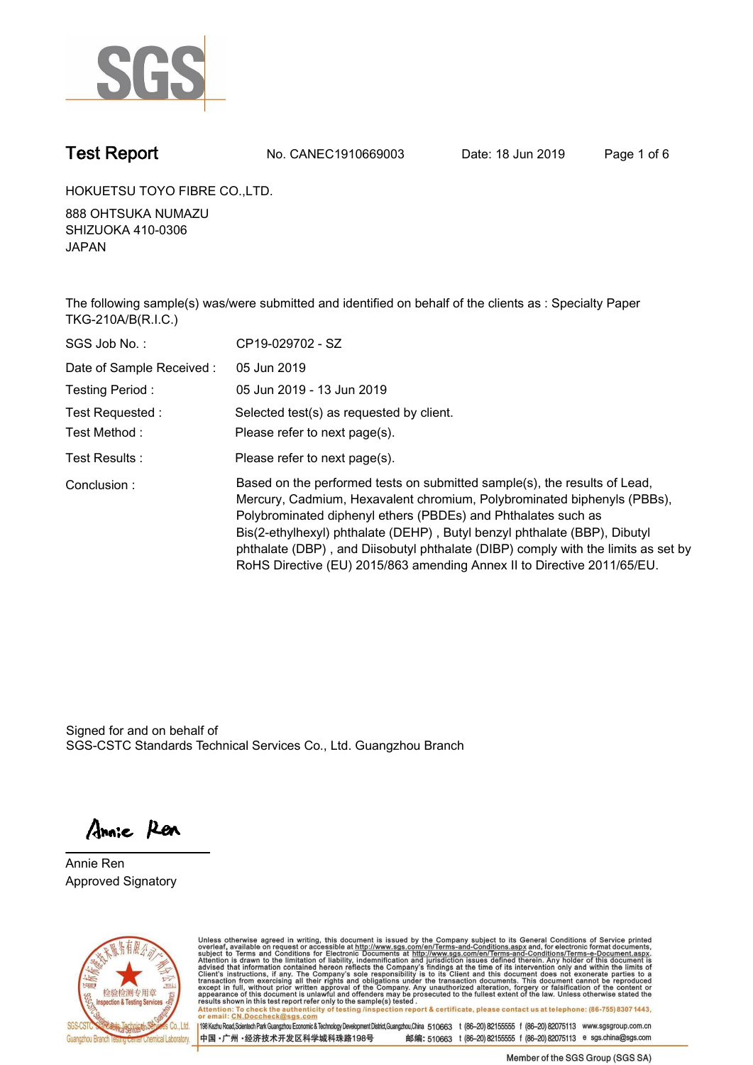

**Test Report. No. CANEC1910669003 Date: 18 Jun 2019. Page 1 of 6.**

**HOKUETSU TOYO FIBRE CO.,LTD..**

**888 OHTSUKA NUMAZU SHIZUOKA 410-0306 JAPAN.**

**The following sample(s) was/were submitted and identified on behalf of the clients as : Specialty Paper TKG-210A/B(R.I.C.).**

| SGS Job No.:             | CP19-029702 - SZ                                                                                                                                                                                                                                                                                                                                                                                                                                                   |
|--------------------------|--------------------------------------------------------------------------------------------------------------------------------------------------------------------------------------------------------------------------------------------------------------------------------------------------------------------------------------------------------------------------------------------------------------------------------------------------------------------|
| Date of Sample Received: | 05 Jun 2019                                                                                                                                                                                                                                                                                                                                                                                                                                                        |
| Testing Period:          | 05 Jun 2019 - 13 Jun 2019                                                                                                                                                                                                                                                                                                                                                                                                                                          |
| Test Requested :         | Selected test(s) as requested by client.                                                                                                                                                                                                                                                                                                                                                                                                                           |
| Test Method :            | Please refer to next page(s).                                                                                                                                                                                                                                                                                                                                                                                                                                      |
| Test Results :           | Please refer to next page(s).                                                                                                                                                                                                                                                                                                                                                                                                                                      |
| Conclusion:              | Based on the performed tests on submitted sample(s), the results of Lead,<br>Mercury, Cadmium, Hexavalent chromium, Polybrominated biphenyls (PBBs),<br>Polybrominated diphenyl ethers (PBDEs) and Phthalates such as<br>Bis(2-ethylhexyl) phthalate (DEHP), Butyl benzyl phthalate (BBP), Dibutyl<br>phthalate (DBP), and Diisobutyl phthalate (DIBP) comply with the limits as set by<br>RoHS Directive (EU) 2015/863 amending Annex II to Directive 2011/65/EU. |

Signed for and on behalf of SGS-CSTC Standards Technical Services Co., Ltd. Guangzhou Branch.

Annie Ren

**Annie Ren. Approved Signatory.**



Unless otherwise agreed in writing, this document is issued by the Company subject to its General Conditions of Service printed<br>overleaf, available on request or accessible at http://www.sgs.com/en/Terms-and-Conditions.asp Attention: To check the authenticity of testing /inspection report & certificate, please contact us at telephone: (86-755) 8307 1443,<br>Attention: To check the authenticity of testing /inspection report & certificate, please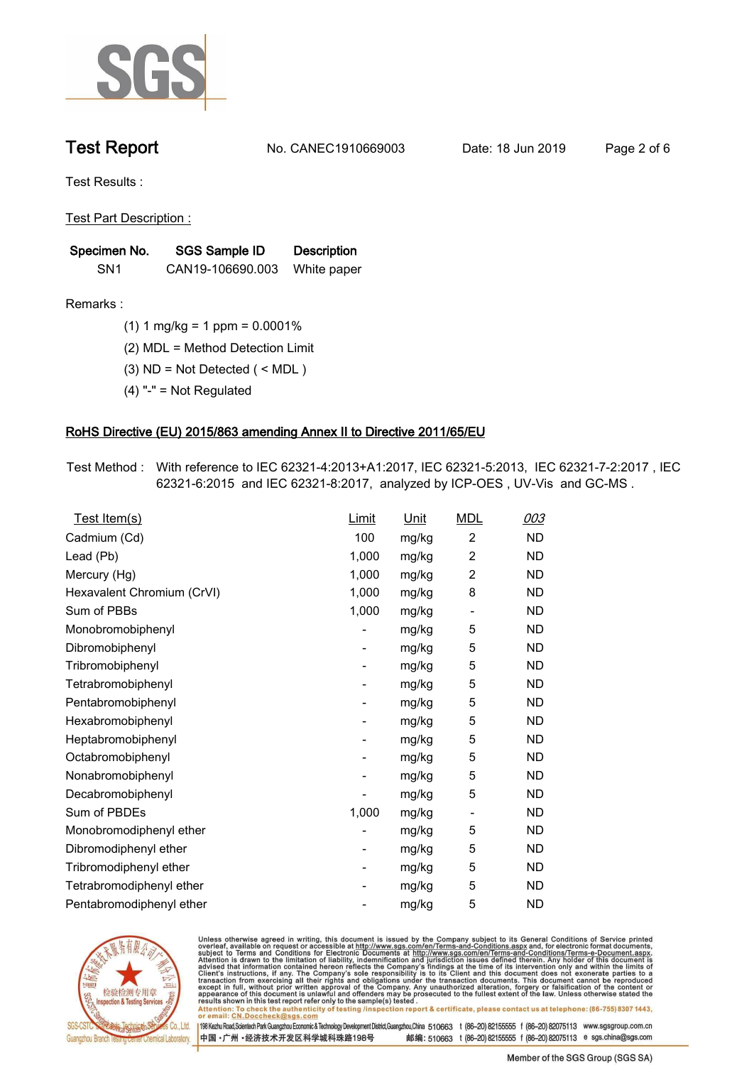

**Test Report. No. CANEC1910669003 Date: 18 Jun 2019. Page 2 of 6.**

**Test Results :.**

**Test Part Description :.**

| Specimen No.    | SGS Sample ID    | <b>Description</b> |  |
|-----------------|------------------|--------------------|--|
| SN <sub>1</sub> | CAN19-106690.003 | White paper        |  |

**Remarks :.(1) 1 mg/kg = 1 ppm = 0.0001%.**

**(2) MDL = Method Detection Limit.**

**(3) ND = Not Detected ( < MDL ).**

**(4) "-" = Not Regulated.**

### **RoHS Directive (EU) 2015/863 amending Annex II to Directive 2011/65/EU.**

**Test Method :. With reference to IEC 62321-4:2013+A1:2017, IEC 62321-5:2013, IEC 62321-7-2:2017 , IEC 62321-6:2015 and IEC 62321-8:2017, analyzed by ICP-OES , UV-Vis and GC-MS ..**

| Test Item(s)               | <u>Limit</u>             | <u>Unit</u> | <b>MDL</b>               | 003       |
|----------------------------|--------------------------|-------------|--------------------------|-----------|
| Cadmium (Cd)               | 100                      | mg/kg       | 2                        | <b>ND</b> |
| Lead (Pb)                  | 1,000                    | mg/kg       | $\overline{2}$           | <b>ND</b> |
| Mercury (Hg)               | 1,000                    | mg/kg       | 2                        | <b>ND</b> |
| Hexavalent Chromium (CrVI) | 1,000                    | mg/kg       | 8                        | <b>ND</b> |
| Sum of PBBs                | 1,000                    | mg/kg       | $\overline{\phantom{a}}$ | <b>ND</b> |
| Monobromobiphenyl          |                          | mg/kg       | 5                        | <b>ND</b> |
| Dibromobiphenyl            | $\overline{\phantom{a}}$ | mg/kg       | 5                        | <b>ND</b> |
| Tribromobiphenyl           | $\overline{\phantom{a}}$ | mg/kg       | 5                        | <b>ND</b> |
| Tetrabromobiphenyl         | $\overline{\phantom{a}}$ | mg/kg       | 5                        | <b>ND</b> |
| Pentabromobiphenyl         | -                        | mg/kg       | 5                        | <b>ND</b> |
| Hexabromobiphenyl          |                          | mg/kg       | 5                        | <b>ND</b> |
| Heptabromobiphenyl         | -                        | mg/kg       | 5                        | <b>ND</b> |
| Octabromobiphenyl          | ۰                        | mg/kg       | 5                        | <b>ND</b> |
| Nonabromobiphenyl          |                          | mg/kg       | 5                        | <b>ND</b> |
| Decabromobiphenyl          |                          | mg/kg       | 5                        | <b>ND</b> |
| Sum of PBDEs               | 1,000                    | mg/kg       | $\overline{\phantom{a}}$ | <b>ND</b> |
| Monobromodiphenyl ether    |                          | mg/kg       | 5                        | <b>ND</b> |
| Dibromodiphenyl ether      | $\overline{\phantom{a}}$ | mg/kg       | 5                        | <b>ND</b> |
| Tribromodiphenyl ether     | $\overline{\phantom{a}}$ | mg/kg       | 5                        | <b>ND</b> |
| Tetrabromodiphenyl ether   |                          | mg/kg       | 5                        | <b>ND</b> |
| Pentabromodiphenyl ether   |                          | mg/kg       | 5                        | <b>ND</b> |
|                            |                          |             |                          |           |



Unless otherwise agreed in writing, this document is issued by the Company subject to its General Conditions of Service printed<br>overleaf, available on request or accessible at http://www.sgs.com/en/Terms-and-Conditions.asp Attention: To check the authenticity of testing /inspection report & certificate, please contact us at telephone: (86-755) 8307 1443,<br>Attention: To check the authenticity of testing /inspection report & certificate, please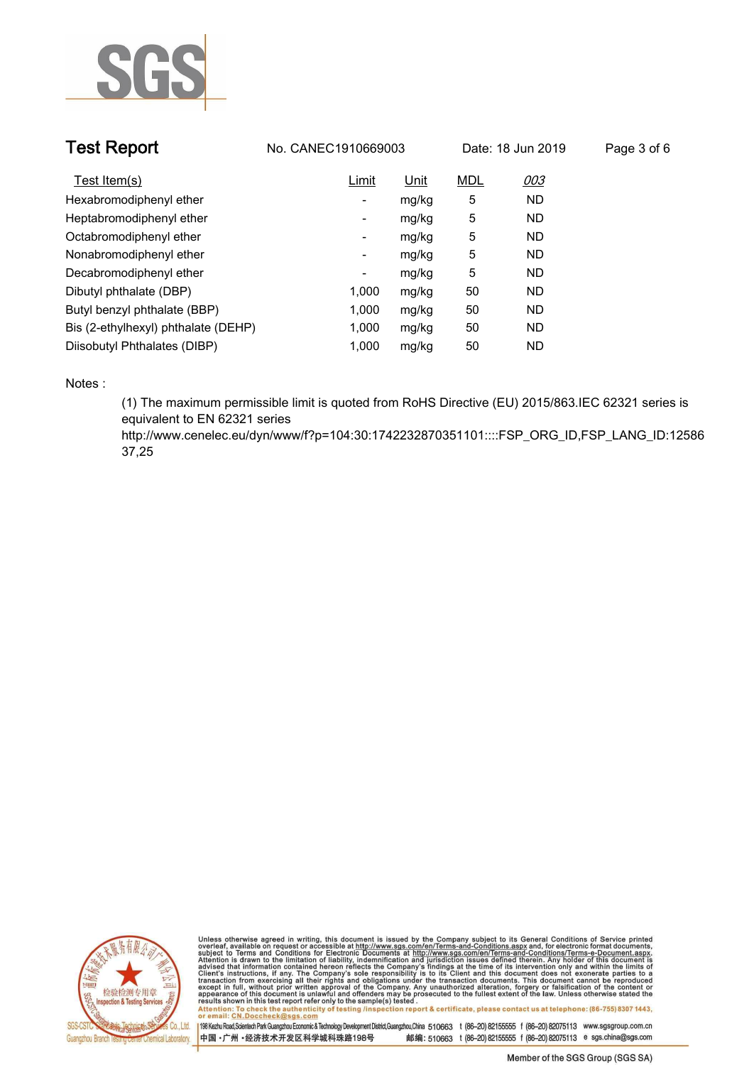

| <b>Test Report</b>                  | No. CANEC1910669003 |             |            | Date: 18 Jun 2019 | Page 3 of 6 |
|-------------------------------------|---------------------|-------------|------------|-------------------|-------------|
| Test Item(s)                        | Limit               | <u>Unit</u> | <b>MDL</b> | 003               |             |
| Hexabromodiphenyl ether             | -                   | mg/kg       | 5          | <b>ND</b>         |             |
| Heptabromodiphenyl ether            | -                   | mg/kg       | 5          | <b>ND</b>         |             |
| Octabromodiphenyl ether             | ۰                   | mg/kg       | 5          | <b>ND</b>         |             |
| Nonabromodiphenyl ether             | Ξ.                  | mg/kg       | 5          | <b>ND</b>         |             |
| Decabromodiphenyl ether             | ۰                   | mg/kg       | 5          | <b>ND</b>         |             |
| Dibutyl phthalate (DBP)             | 1.000               | mg/kg       | 50         | <b>ND</b>         |             |
| Butyl benzyl phthalate (BBP)        | 1.000               | mg/kg       | 50         | <b>ND</b>         |             |
| Bis (2-ethylhexyl) phthalate (DEHP) | 1,000               | mg/kg       | 50         | <b>ND</b>         |             |
| Diisobutyl Phthalates (DIBP)        | 1.000               | mg/kg       | 50         | <b>ND</b>         |             |

**Notes :.**

**(1) The maximum permissible limit is quoted from RoHS Directive (EU) 2015/863.IEC 62321 series is equivalent to EN 62321 series** 

**http://www.cenelec.eu/dyn/www/f?p=104:30:1742232870351101::::FSP\_ORG\_ID,FSP\_LANG\_ID:12586 37,25.**



Unless otherwise agreed in writing, this document is issued by the Company subject to its General Conditions of Service printed<br>overleaf, available on request or accessible at http://www.sgs.com/en/Terms-and-Conditions.asp Attention: To check the authenticity of testing /inspection report & certificate, please contact us at telephone: (86-755) 8307 1443,<br>Attention: To check the authenticity of testing /inspection report & certificate, please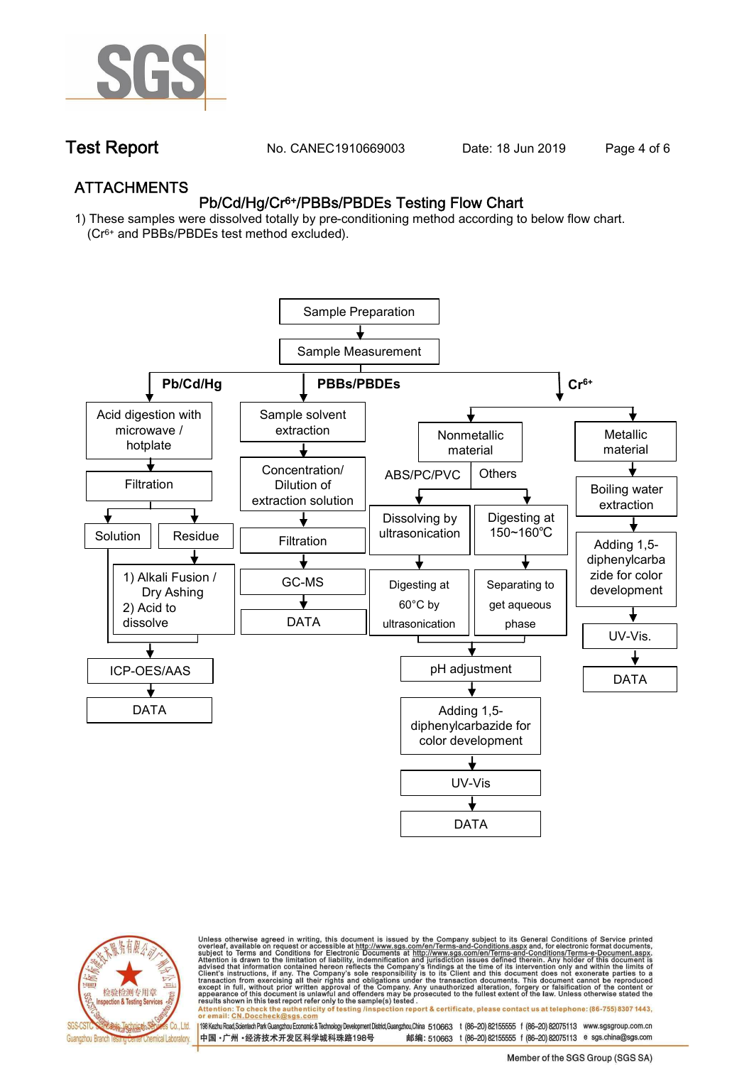

**Test Report. No. CANEC1910669003** Date: 18 Jun 2019 Page 4 of 6

## **ATTACHMENTS Pb/Cd/Hg/Cr6+/PBBs/PBDEs Testing Flow Chart**

**1) These samples were dissolved totally by pre-conditioning method according to below flow chart. (Cr6+ and PBBs/PBDEs test method excluded).**





Unless otherwise agreed in writing, this document is issued by the Company subject to its General Conditions of Service printed<br>overleaf, available on request or accessible at http://www.sgs.com/en/Terms-and-Conditions.asp résults shown in this test report refer only to the sample(s) tésted .<br>Attention: To check the authenticity of testing /inspection report & certificate, please contact us at telephone: (86-755) 8307 1443,<br>or email: <u>CN.Doc</u>

198 Kezhu Road,Scientech Park Guangzhou Economic & Technology Development District,Guangzhou,China 510663 t (86-20) 82155555 f (86-20) 82075113 www.sgsgroup.com.cn

邮编: 510663 t (86-20) 82155555 f (86-20) 82075113 e sgs.china@sgs.com 中国·广州·经济技术开发区科学城科珠路198号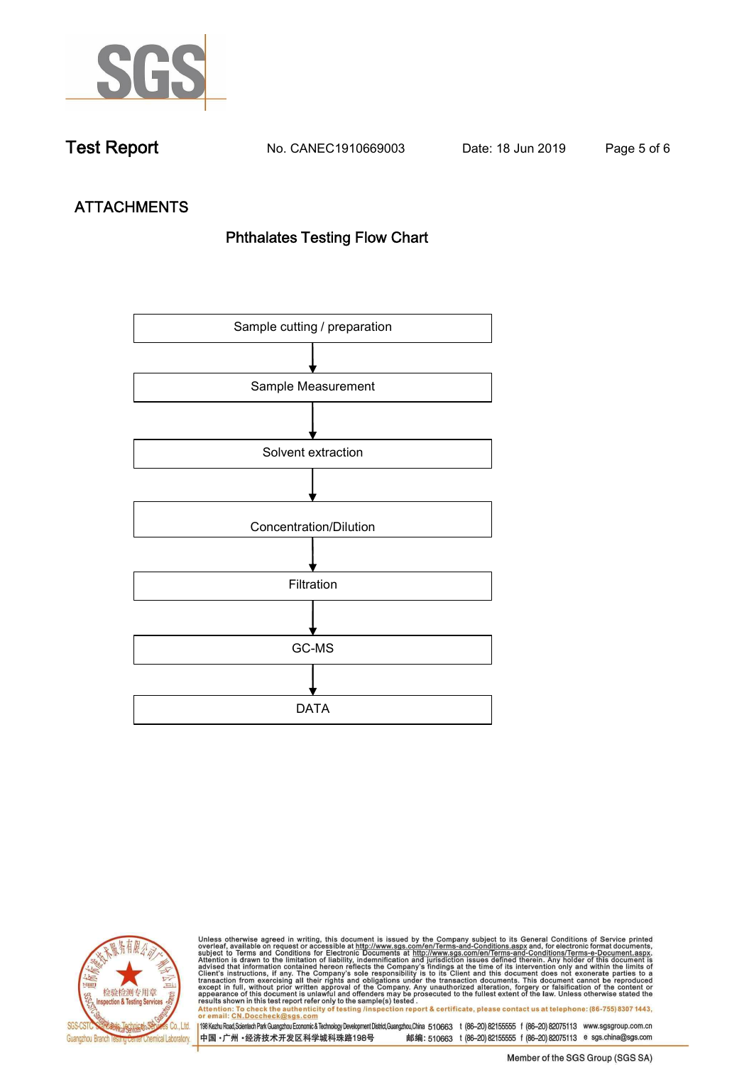

**Test Report. No. CANEC1910669003 Date: 18 Jun 2019. Page 5 of 6.**

# **ATTACHMENTS Phthalates Testing Flow Chart**





Unless otherwise agreed in writing, this document is issued by the Company subject to its General Conditions of Service printed<br>overleaf, available on request or accessible at http://www.sgs.com/en/Terms-and-Conditions.asp results shown in this test report refer only to the sample(s) tested .<br>Attention: To check the authenticity of testing /inspection report & certificate, please contact us at telephone: (86-755) 8307 1443,<br>or email: <u>CN.Doc</u>